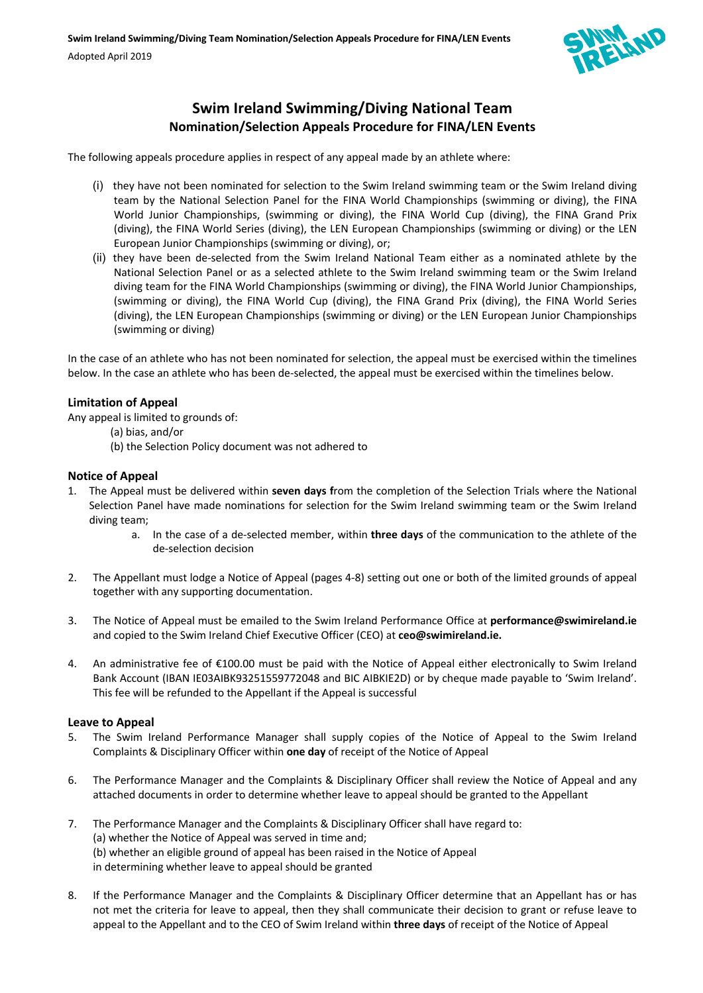

# **Swim Ireland Swimming/Diving National Team Nomination/Selection Appeals Procedure for FINA/LEN Events**

The following appeals procedure applies in respect of any appeal made by an athlete where:

- (i) they have not been nominated for selection to the Swim Ireland swimming team or the Swim Ireland diving team by the National Selection Panel for the FINA World Championships (swimming or diving), the FINA World Junior Championships, (swimming or diving), the FINA World Cup (diving), the FINA Grand Prix (diving), the FINA World Series (diving), the LEN European Championships (swimming or diving) or the LEN European Junior Championships (swimming or diving), or;
- (ii) they have been de-selected from the Swim Ireland National Team either as a nominated athlete by the National Selection Panel or as a selected athlete to the Swim Ireland swimming team or the Swim Ireland diving team for the FINA World Championships (swimming or diving), the FINA World Junior Championships, (swimming or diving), the FINA World Cup (diving), the FINA Grand Prix (diving), the FINA World Series (diving), the LEN European Championships (swimming or diving) or the LEN European Junior Championships (swimming or diving)

In the case of an athlete who has not been nominated for selection, the appeal must be exercised within the timelines below. In the case an athlete who has been de-selected, the appeal must be exercised within the timelines below.

## **Limitation of Appeal**

Any appeal is limited to grounds of:

- (a) bias, and/or
- (b) the Selection Policy document was not adhered to

#### **Notice of Appeal**

- 1. The Appeal must be delivered within **seven days f**rom the completion of the Selection Trials where the National Selection Panel have made nominations for selection for the Swim Ireland swimming team or the Swim Ireland diving team;
	- a. In the case of a de-selected member, within **three days** of the communication to the athlete of the de-selection decision
- 2. The Appellant must lodge a Notice of Appeal (pages 4-8) setting out one or both of the limited grounds of appeal together with any supporting documentation.
- 3. The Notice of Appeal must be emailed to the Swim Ireland Performance Office at **performance@swimireland.ie** and copied to the Swim Ireland Chief Executive Officer (CEO) at **ceo@swimireland.ie.**
- 4. An administrative fee of €100.00 must be paid with the Notice of Appeal either electronically to Swim Ireland Bank Account (IBAN IE03AIBK93251559772048 and BIC AIBKIE2D) or by cheque made payable to 'Swim Ireland'. This fee will be refunded to the Appellant if the Appeal is successful

#### **Leave to Appeal**

- 5. The Swim Ireland Performance Manager shall supply copies of the Notice of Appeal to the Swim Ireland Complaints & Disciplinary Officer within **one day** of receipt of the Notice of Appeal
- 6. The Performance Manager and the Complaints & Disciplinary Officer shall review the Notice of Appeal and any attached documents in order to determine whether leave to appeal should be granted to the Appellant
- 7. The Performance Manager and the Complaints & Disciplinary Officer shall have regard to: (a) whether the Notice of Appeal was served in time and; (b) whether an eligible ground of appeal has been raised in the Notice of Appeal in determining whether leave to appeal should be granted
- 8. If the Performance Manager and the Complaints & Disciplinary Officer determine that an Appellant has or has not met the criteria for leave to appeal, then they shall communicate their decision to grant or refuse leave to appeal to the Appellant and to the CEO of Swim Ireland within **three days** of receipt of the Notice of Appeal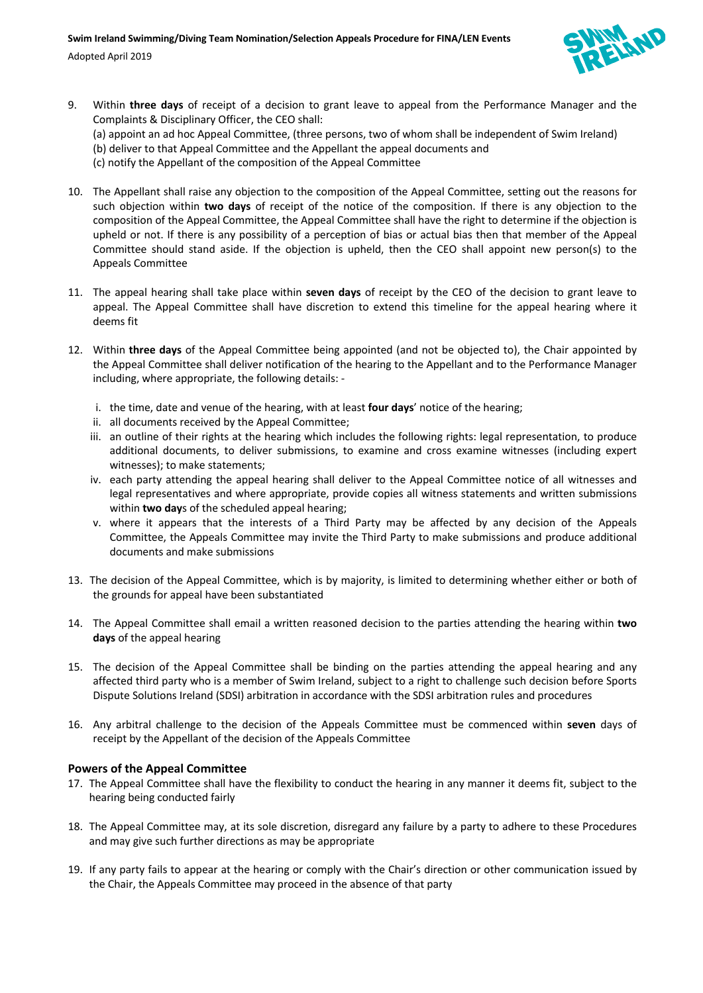

- 9. Within **three days** of receipt of a decision to grant leave to appeal from the Performance Manager and the Complaints & Disciplinary Officer, the CEO shall: (a) appoint an ad hoc Appeal Committee, (three persons, two of whom shall be independent of Swim Ireland) (b) deliver to that Appeal Committee and the Appellant the appeal documents and (c) notify the Appellant of the composition of the Appeal Committee
- 10. The Appellant shall raise any objection to the composition of the Appeal Committee, setting out the reasons for such objection within **two days** of receipt of the notice of the composition. If there is any objection to the composition of the Appeal Committee, the Appeal Committee shall have the right to determine if the objection is upheld or not. If there is any possibility of a perception of bias or actual bias then that member of the Appeal Committee should stand aside. If the objection is upheld, then the CEO shall appoint new person(s) to the Appeals Committee
- 11. The appeal hearing shall take place within **seven days** of receipt by the CEO of the decision to grant leave to appeal. The Appeal Committee shall have discretion to extend this timeline for the appeal hearing where it deems fit
- 12. Within **three days** of the Appeal Committee being appointed (and not be objected to), the Chair appointed by the Appeal Committee shall deliver notification of the hearing to the Appellant and to the Performance Manager including, where appropriate, the following details:
	- i. the time, date and venue of the hearing, with at least **four days**' notice of the hearing;
	- ii. all documents received by the Appeal Committee;
	- iii. an outline of their rights at the hearing which includes the following rights: legal representation, to produce additional documents, to deliver submissions, to examine and cross examine witnesses (including expert witnesses); to make statements;
	- iv. each party attending the appeal hearing shall deliver to the Appeal Committee notice of all witnesses and legal representatives and where appropriate, provide copies all witness statements and written submissions within **two day**s of the scheduled appeal hearing;
	- v. where it appears that the interests of a Third Party may be affected by any decision of the Appeals Committee, the Appeals Committee may invite the Third Party to make submissions and produce additional documents and make submissions
- 13. The decision of the Appeal Committee, which is by majority, is limited to determining whether either or both of the grounds for appeal have been substantiated
- 14. The Appeal Committee shall email a written reasoned decision to the parties attending the hearing within **two days** of the appeal hearing
- 15. The decision of the Appeal Committee shall be binding on the parties attending the appeal hearing and any affected third party who is a member of Swim Ireland, subject to a right to challenge such decision before Sports Dispute Solutions Ireland (SDSI) arbitration in accordance with the SDSI arbitration rules and procedures
- 16. Any arbitral challenge to the decision of the Appeals Committee must be commenced within **seven** days of receipt by the Appellant of the decision of the Appeals Committee

## **Powers of the Appeal Committee**

- 17. The Appeal Committee shall have the flexibility to conduct the hearing in any manner it deems fit, subject to the hearing being conducted fairly
- 18. The Appeal Committee may, at its sole discretion, disregard any failure by a party to adhere to these Procedures and may give such further directions as may be appropriate
- 19. If any party fails to appear at the hearing or comply with the Chair's direction or other communication issued by the Chair, the Appeals Committee may proceed in the absence of that party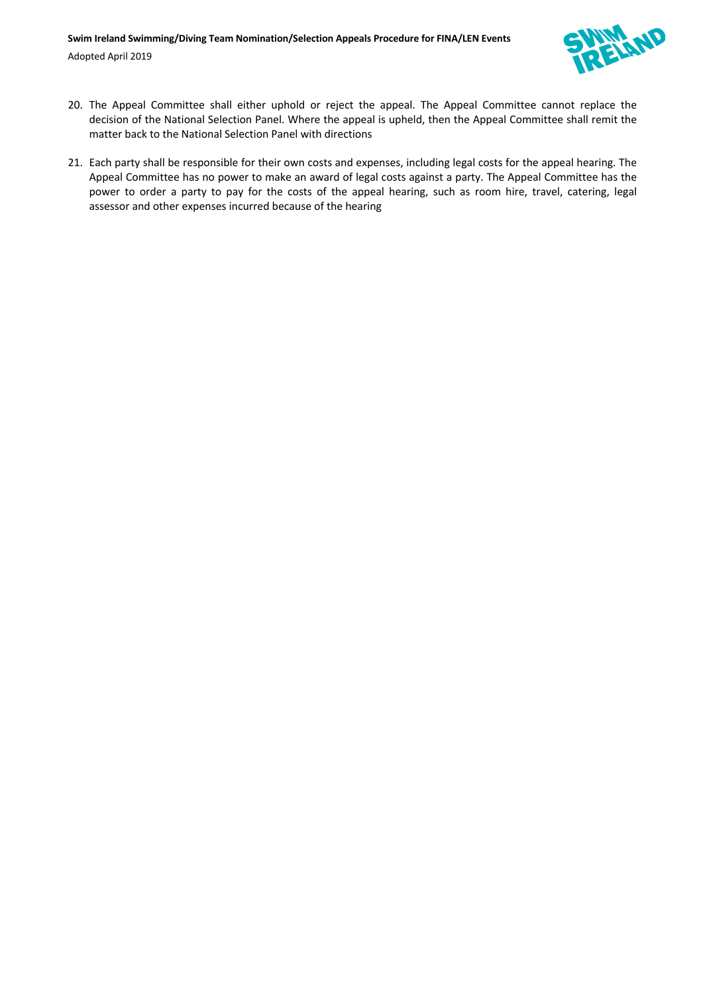

- 20. The Appeal Committee shall either uphold or reject the appeal. The Appeal Committee cannot replace the decision of the National Selection Panel. Where the appeal is upheld, then the Appeal Committee shall remit the matter back to the National Selection Panel with directions
- 21. Each party shall be responsible for their own costs and expenses, including legal costs for the appeal hearing. The Appeal Committee has no power to make an award of legal costs against a party. The Appeal Committee has the power to order a party to pay for the costs of the appeal hearing, such as room hire, travel, catering, legal assessor and other expenses incurred because of the hearing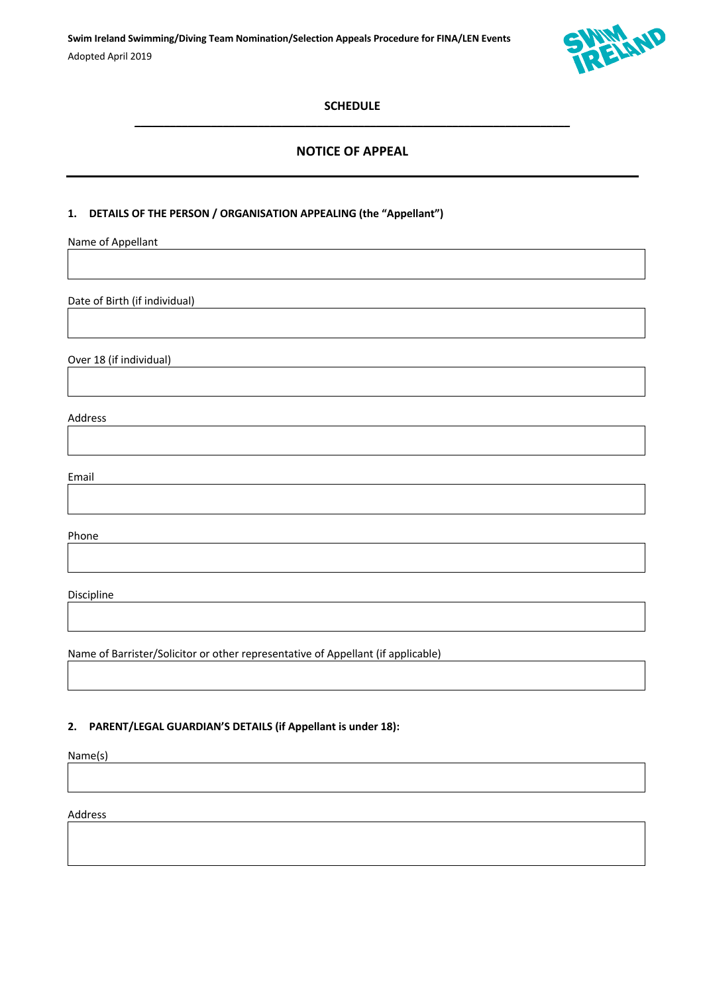

## **SCHEDULE**   $\mathcal{L}_\mathcal{L} = \{ \mathcal{L}_\mathcal{L} = \{ \mathcal{L}_\mathcal{L} = \{ \mathcal{L}_\mathcal{L} = \{ \mathcal{L}_\mathcal{L} = \{ \mathcal{L}_\mathcal{L} = \{ \mathcal{L}_\mathcal{L} = \{ \mathcal{L}_\mathcal{L} = \{ \mathcal{L}_\mathcal{L} = \{ \mathcal{L}_\mathcal{L} = \{ \mathcal{L}_\mathcal{L} = \{ \mathcal{L}_\mathcal{L} = \{ \mathcal{L}_\mathcal{L} = \{ \mathcal{L}_\mathcal{L} = \{ \mathcal{L}_\mathcal{$

## **NOTICE OF APPEAL**

### **1. DETAILS OF THE PERSON / ORGANISATION APPEALING (the "Appellant")**

Name of Appellant

Date of Birth (if individual)

Over 18 (if individual)

Address

Email

Phone

Discipline

Name of Barrister/Solicitor or other representative of Appellant (if applicable)

#### **2. PARENT/LEGAL GUARDIAN'S DETAILS (if Appellant is under 18):**

Name(s)

Address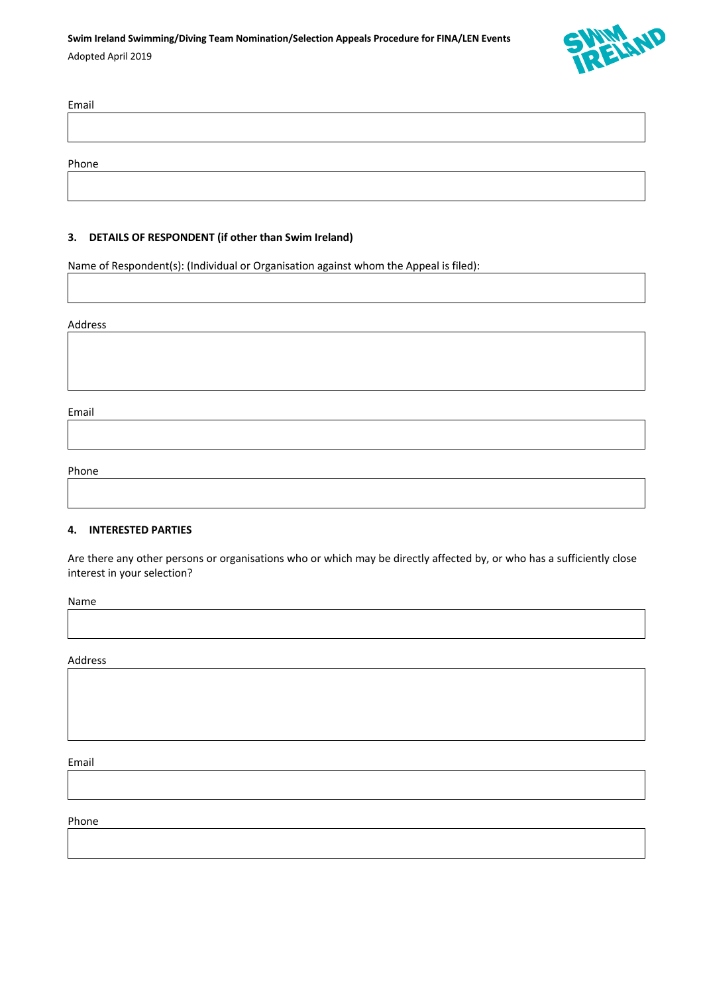

| Email |  |  |  |
|-------|--|--|--|
|       |  |  |  |
|       |  |  |  |
| Phone |  |  |  |

#### **3. DETAILS OF RESPONDENT (if other than Swim Ireland)**

Name of Respondent(s): (Individual or Organisation against whom the Appeal is filed):

#### Address

Email

## Phone

#### **4. INTERESTED PARTIES**

Are there any other persons or organisations who or which may be directly affected by, or who has a sufficiently close interest in your selection?

Name

Address

Email

Phone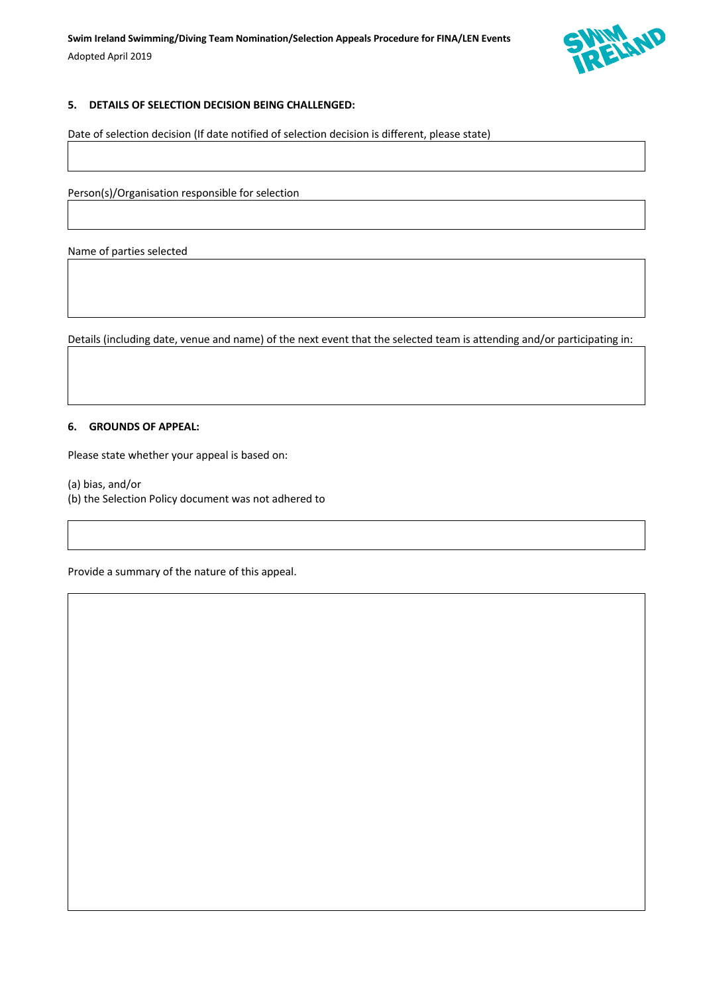

### **5. DETAILS OF SELECTION DECISION BEING CHALLENGED:**

Date of selection decision (If date notified of selection decision is different, please state)

Person(s)/Organisation responsible for selection

Name of parties selected

Details (including date, venue and name) of the next event that the selected team is attending and/or participating in:

#### **6. GROUNDS OF APPEAL:**

Please state whether your appeal is based on:

(a) bias, and/or

(b) the Selection Policy document was not adhered to

Provide a summary of the nature of this appeal.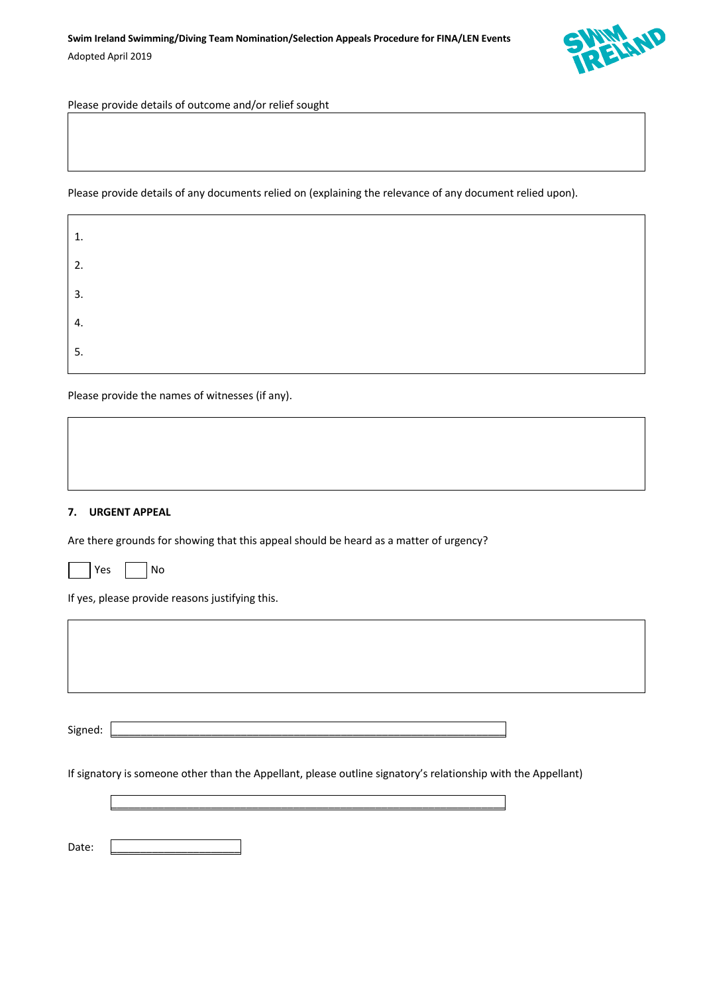

Please provide details of outcome and/or relief sought

Please provide details of any documents relied on (explaining the relevance of any document relied upon).

| 1. |  |  |
|----|--|--|
| 2. |  |  |
| 3. |  |  |
| 4. |  |  |
| 5. |  |  |

Please provide the names of witnesses (if any).

### **7. URGENT APPEAL**

Are there grounds for showing that this appeal should be heard as a matter of urgency?

| n c | N۸ |
|-----|----|
|-----|----|

If yes, please provide reasons justifying this.

Signed: \_\_\_\_\_\_\_\_\_\_\_\_\_\_\_\_\_\_\_\_\_\_\_\_\_\_\_\_\_\_\_\_\_\_\_\_\_\_\_\_\_\_\_\_\_\_\_\_\_\_\_\_\_\_\_\_\_\_\_\_\_\_\_\_\_\_\_

If signatory is someone other than the Appellant, please outline signatory's relationship with the Appellant)

\_\_\_\_\_\_\_\_\_\_\_\_\_\_\_\_\_\_\_\_\_\_\_\_\_\_\_\_\_\_\_\_\_\_\_\_\_\_\_\_\_\_\_\_\_\_\_\_\_\_\_\_\_\_\_\_\_\_\_\_\_\_\_\_\_\_\_

Date: